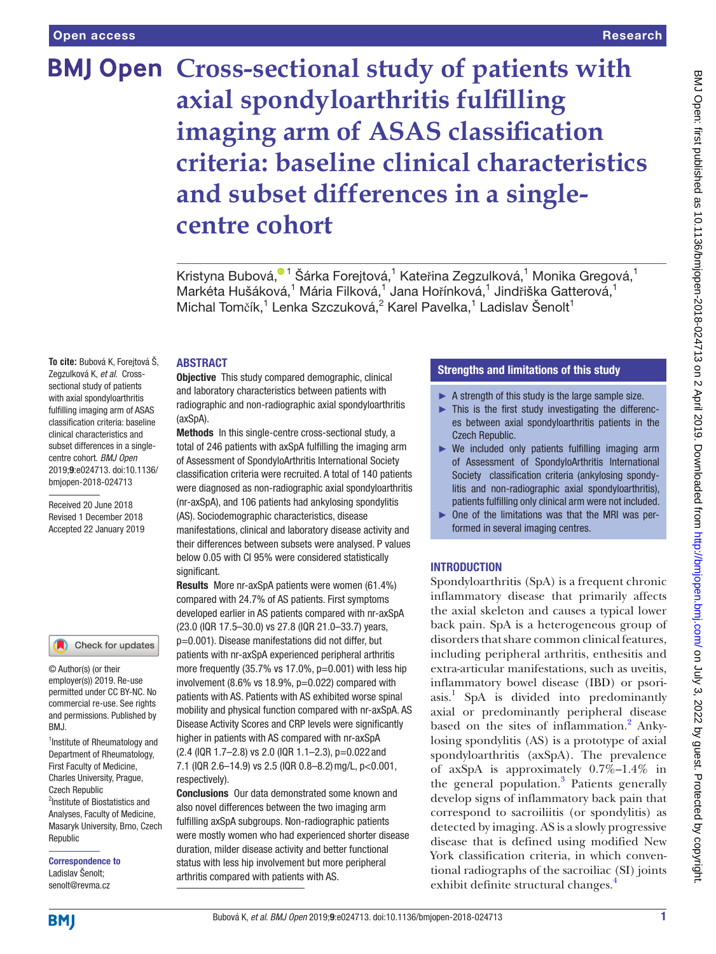# Research

# **BMJ Open Cross-sectional study of patients with axial spondyloarthritis fulfilling imaging arm of ASAS classification criteria: baseline clinical characteristics and subset differences in a singlecentre cohort**

Kristyna Bubová, $^{\text{\textregistered-1}}$  Šárka Forejtová, $^{\text{\text{1}}}$  Kateřina Zegzulková, $^{\text{\text{1}}}$  Monika Gregová, $^{\text{\text{1}}}$ Markéta Hušáková,<sup>1</sup> Mária Filková,<sup>1</sup> Jana Hořínková,<sup>1</sup> Jindřiška Gatterová,<sup>1</sup> Michal Tomčík,<sup>1</sup> Lenka Szczuková,<sup>2</sup> Karel Pavelka,<sup>1</sup> Ladislav Šenolt<sup>1</sup>

#### **ABSTRACT**

**To cite:** Bubová K, Forejtová Š, Zegzulková K, *et al*. Crosssectional study of patients with axial spondyloarthritis fulfilling imaging arm of ASAS classification criteria: baseline clinical characteristics and subset differences in a singlecentre cohort. *BMJ Open* 2019;9:e024713. doi:10.1136/ bmjopen-2018-024713

Received 20 June 2018 Revised 1 December 2018 Accepted 22 January 2019

#### Check for updates

© Author(s) (or their employer(s)) 2019. Re-use permitted under CC BY-NC. No commercial re-use. See rights and permissions. Published by BMJ.

<sup>1</sup> Institute of Rheumatology and Department of Rheumatology, First Faculty of Medicine, Charles University, Prague, Czech Republic <sup>2</sup>Institute of Biostatistics and Analyses, Faculty of Medicine, Masaryk University, Brno, Czech Republic

Correspondence to Ladislav Šenolt; senolt@revma.cz

**Objective** This study compared demographic, clinical and laboratory characteristics between patients with radiographic and non-radiographic axial spondyloarthritis (axSpA).

Methods In this single-centre cross-sectional study, a total of 246 patients with axSpA fulfilling the imaging arm of Assessment of SpondyloArthritis International Society classification criteria were recruited. A total of 140 patients were diagnosed as non-radiographic axial spondyloarthritis (nr-axSpA), and 106 patients had ankylosing spondylitis (AS). Sociodemographic characteristics, disease manifestations, clinical and laboratory disease activity and their differences between subsets were analysed. P values below 0.05 with CI 95% were considered statistically significant.

Results More nr-axSpA patients were women (61.4%) compared with 24.7% of AS patients. First symptoms developed earlier in AS patients compared with nr-axSpA (23.0 (IQR 17.5–30.0) vs 27.8 (IQR 21.0–33.7) years, p=0.001). Disease manifestations did not differ, but patients with nr-axSpA experienced peripheral arthritis more frequently  $(35.7\% \text{ vs } 17.0\%, \text{p=0.001})$  with less hip involvement  $(8.6\% \text{ vs } 18.9\% , p=0.022)$  compared with patients with AS. Patients with AS exhibited worse spinal mobility and physical function compared with nr-axSpA. AS Disease Activity Scores and CRP levels were significantly higher in patients with AS compared with nr-axSpA (2.4 (IQR 1.7–2.8) vs 2.0 (IQR 1.1–2.3), p=0.022 and 7.1 (IQR 2.6–14.9) vs 2.5 (IQR 0.8–8.2)mg/L, p<0.001, respectively).

Conclusions Our data demonstrated some known and also novel differences between the two imaging arm fulfilling axSpA subgroups. Non-radiographic patients were mostly women who had experienced shorter disease duration, milder disease activity and better functional status with less hip involvement but more peripheral arthritis compared with patients with AS.

# Strengths and limitations of this study

- $\blacktriangleright$  A strength of this study is the large sample size.
- ► This is the first study investigating the differences between axial spondyloarthritis patients in the Czech Republic.
- $\triangleright$  We included only patients fulfilling imaging arm of Assessment of SpondyloArthritis International Society classification criteria (ankylosing spondylitis and non-radiographic axial spondyloarthritis), patients fulfilling only clinical arm were not included.
- ► One of the limitations was that the MRI was performed in several imaging centres.

## **INTRODUCTION**

Spondyloarthritis (SpA) is a frequent chronic inflammatory disease that primarily affects the axial skeleton and causes a typical lower back pain. SpA is a heterogeneous group of disorders that share common clinical features, including peripheral arthritis, enthesitis and extra-articular manifestations, such as uveitis, inflammatory bowel disease (IBD) or psori-asis.<sup>[1](#page-4-0)</sup> SpA is divided into predominantly axial or predominantly peripheral disease based on the sites of inflammation.<sup>[2](#page-4-1)</sup> Ankylosing spondylitis (AS) is a prototype of axial spondyloarthritis (axSpA). The prevalence of axSpA is approximately 0.7%–1.4% in the general population.<sup>[3](#page-5-0)</sup> Patients generally develop signs of inflammatory back pain that correspond to sacroiliitis (or spondylitis) as detected by imaging. AS is a slowly progressive disease that is defined using modified New York classification criteria, in which conventional radiographs of the sacroiliac (SI) joints exhibit definite structural changes.<sup>[4](#page-5-1)</sup>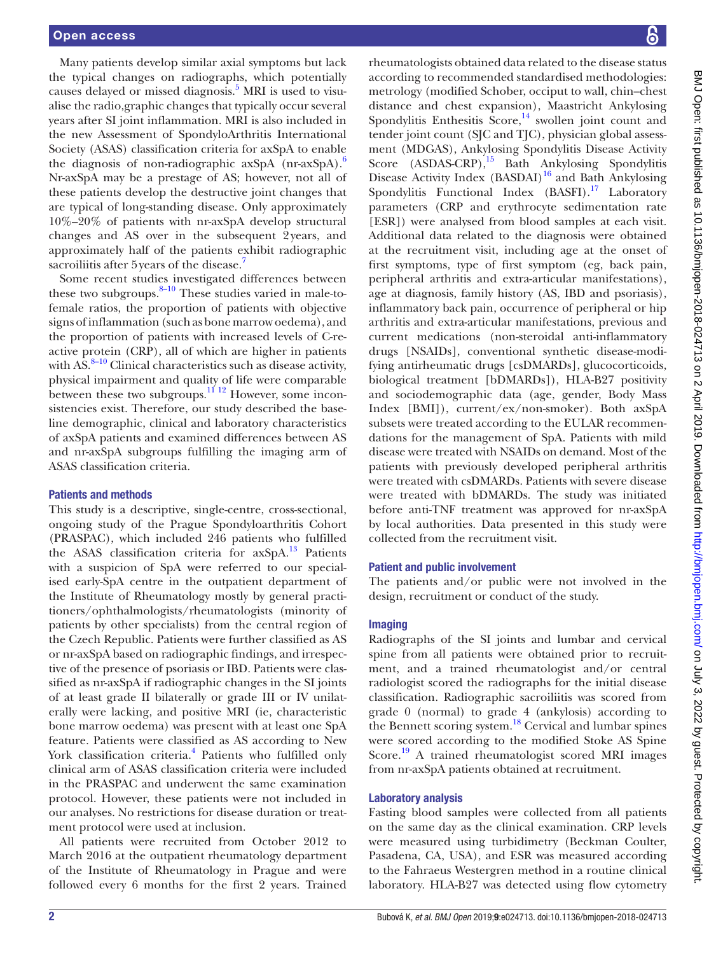Many patients develop similar axial symptoms but lack the typical changes on radiographs, which potentially causes delayed or missed diagnosis.<sup>[5](#page-5-2)</sup> MRI is used to visualise the radio,graphic changes that typically occur several years after SI joint inflammation. MRI is also included in the new Assessment of SpondyloArthritis International Society (ASAS) classification criteria for axSpA to enable the diagnosis of non-radiographic axSpA (nr-axSpA).<sup>[6](#page-5-3)</sup> Nr-axSpA may be a prestage of AS; however, not all of these patients develop the destructive joint changes that are typical of long-standing disease. Only approximately 10%–20% of patients with nr-axSpA develop structural changes and AS over in the subsequent 2years, and approximately half of the patients exhibit radiographic sacroiliitis after 5 years of the disease.<sup>7</sup>

Some recent studies investigated differences between these two subgroups. $8-10$  These studies varied in male-tofemale ratios, the proportion of patients with objective signs of inflammation (such as bone marrow oedema), and the proportion of patients with increased levels of C-reactive protein (CRP), all of which are higher in patients with  $\overline{AS}$ .<sup>[8–10](#page-5-5)</sup> Clinical characteristics such as disease activity, physical impairment and quality of life were comparable between these two subgroups.<sup>[11 12](#page-5-6)</sup> However, some inconsistencies exist. Therefore, our study described the baseline demographic, clinical and laboratory characteristics of axSpA patients and examined differences between AS and nr-axSpA subgroups fulfilling the imaging arm of ASAS classification criteria.

#### Patients and methods

This study is a descriptive, single-centre, cross-sectional, ongoing study of the Prague Spondyloarthritis Cohort (PRASPAC), which included 246 patients who fulfilled the ASAS classification criteria for  $axSpA$ <sup>[13](#page-5-7)</sup> Patients with a suspicion of SpA were referred to our specialised early-SpA centre in the outpatient department of the Institute of Rheumatology mostly by general practitioners/ophthalmologists/rheumatologists (minority of patients by other specialists) from the central region of the Czech Republic. Patients were further classified as AS or nr-axSpA based on radiographic findings, and irrespective of the presence of psoriasis or IBD. Patients were classified as nr-axSpA if radiographic changes in the SI joints of at least grade II bilaterally or grade III or IV unilaterally were lacking, and positive MRI (ie, characteristic bone marrow oedema) was present with at least one SpA feature. Patients were classified as AS according to New York classification criteria.<sup>[4](#page-5-1)</sup> Patients who fulfilled only clinical arm of ASAS classification criteria were included in the PRASPAC and underwent the same examination protocol. However, these patients were not included in our analyses. No restrictions for disease duration or treatment protocol were used at inclusion.

All patients were recruited from October 2012 to March 2016 at the outpatient rheumatology department of the Institute of Rheumatology in Prague and were followed every 6 months for the first 2 years. Trained

rheumatologists obtained data related to the disease status according to recommended standardised methodologies: metrology (modified Schober, occiput to wall, chin–chest distance and chest expansion), Maastricht Ankylosing Spondylitis Enthesitis  $\text{Score}^{14}$ , swollen joint count and tender joint count (SJC and TJC), physician global assessment (MDGAS), Ankylosing Spondylitis Disease Activity Score  $(ASDAS-CRP)$ ,<sup>15</sup> Bath Ankylosing Spondylitis Disease Activity Index (BASDAI) $16$  and Bath Ankylosing Spondylitis Functional Index (BASFI).<sup>17</sup> Laboratory parameters (CRP and erythrocyte sedimentation rate [ESR]) were analysed from blood samples at each visit. Additional data related to the diagnosis were obtained at the recruitment visit, including age at the onset of first symptoms, type of first symptom (eg, back pain, peripheral arthritis and extra-articular manifestations), age at diagnosis, family history (AS, IBD and psoriasis), inflammatory back pain, occurrence of peripheral or hip arthritis and extra-articular manifestations, previous and current medications (non-steroidal anti-inflammatory drugs [NSAIDs], conventional synthetic disease-modifying antirheumatic drugs [csDMARDs], glucocorticoids, biological treatment [bDMARDs]), HLA-B27 positivity and sociodemographic data (age, gender, Body Mass Index [BMI]), current/ex/non-smoker). Both axSpA subsets were treated according to the EULAR recommendations for the management of SpA. Patients with mild disease were treated with NSAIDs on demand. Most of the patients with previously developed peripheral arthritis were treated with csDMARDs. Patients with severe disease were treated with bDMARDs. The study was initiated before anti-TNF treatment was approved for nr-axSpA by local authorities. Data presented in this study were collected from the recruitment visit.

#### Patient and public involvement

The patients and/or public were not involved in the design, recruitment or conduct of the study.

## Imaging

Radiographs of the SI joints and lumbar and cervical spine from all patients were obtained prior to recruitment, and a trained rheumatologist and/or central radiologist scored the radiographs for the initial disease classification. Radiographic sacroiliitis was scored from grade 0 (normal) to grade 4 (ankylosis) according to the Bennett scoring system.<sup>18</sup> Cervical and lumbar spines were scored according to the modified Stoke AS Spine Score.<sup>19</sup> A trained rheumatologist scored MRI images from nr-axSpA patients obtained at recruitment.

## Laboratory analysis

Fasting blood samples were collected from all patients on the same day as the clinical examination. CRP levels were measured using turbidimetry (Beckman Coulter, Pasadena, CA, USA), and ESR was measured according to the Fahraeus Westergren method in a routine clinical laboratory. HLA-B27 was detected using flow cytometry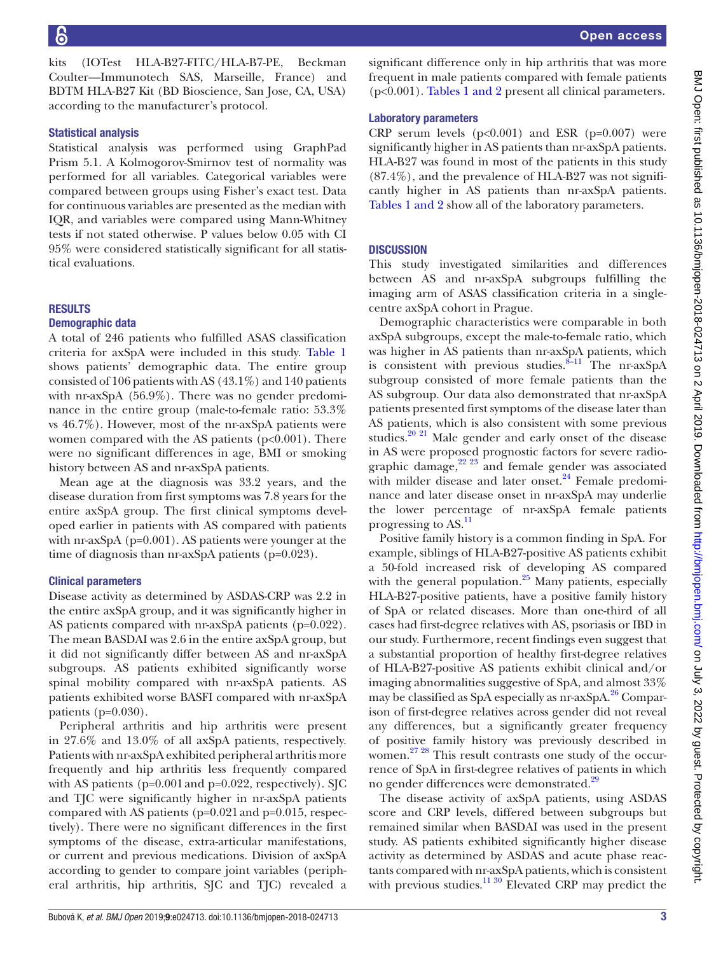kits (IOTest HLA-B27-FITC/HLA-B7-PE, Beckman Coulter—Immunotech SAS, Marseille, France) and BDTM HLA-B27 Kit (BD Bioscience, San Jose, CA, USA) according to the manufacturer's protocol.

#### Statistical analysis

Statistical analysis was performed using GraphPad Prism 5.1. A Kolmogorov-Smirnov test of normality was performed for all variables. Categorical variables were compared between groups using Fisher's exact test. Data for continuous variables are presented as the median with IQR, and variables were compared using Mann-Whitney tests if not stated otherwise. P values below 0.05 with CI 95% were considered statistically significant for all statistical evaluations.

#### **RESULTS**

#### Demographic data

A total of 246 patients who fulfilled ASAS classification criteria for axSpA were included in this study. [Table](#page-3-0) 1 shows patients' demographic data. The entire group consisted of 106 patients with AS (43.1%) and 140 patients with nr-axSpA (56.9%). There was no gender predominance in the entire group (male-to-female ratio: 53.3% vs 46.7%). However, most of the nr-axSpA patients were women compared with the AS patients (p<0.001). There were no significant differences in age, BMI or smoking history between AS and nr-axSpA patients.

Mean age at the diagnosis was 33.2 years, and the disease duration from first symptoms was 7.8 years for the entire axSpA group. The first clinical symptoms developed earlier in patients with AS compared with patients with nr-axSpA (p=0.001). AS patients were younger at the time of diagnosis than nr-axSpA patients (p=0.023).

## Clinical parameters

Disease activity as determined by ASDAS-CRP was 2.2 in the entire axSpA group, and it was significantly higher in AS patients compared with nr-axSpA patients (p=0.022). The mean BASDAI was 2.6 in the entire axSpA group, but it did not significantly differ between AS and nr-axSpA subgroups. AS patients exhibited significantly worse spinal mobility compared with nr-axSpA patients. AS patients exhibited worse BASFI compared with nr-axSpA patients (p=0.030).

Peripheral arthritis and hip arthritis were present in 27.6% and 13.0% of all axSpA patients, respectively. Patients with nr-axSpA exhibited peripheral arthritis more frequently and hip arthritis less frequently compared with AS patients (p=0.001and p=0.022, respectively). SJC and TJC were significantly higher in nr-axSpA patients compared with AS patients (p=0.021and p=0.015, respectively). There were no significant differences in the first symptoms of the disease, extra-articular manifestations, or current and previous medications. Division of axSpA according to gender to compare joint variables (peripheral arthritis, hip arthritis, SJC and TJC) revealed a

significant difference only in hip arthritis that was more frequent in male patients compared with female patients (p<0.001). Tables [1 and 2](#page-3-0) present all clinical parameters.

#### Laboratory parameters

CRP serum levels  $(p<0.001)$  and ESR  $(p=0.007)$  were significantly higher in AS patients than nr-axSpA patients. HLA-B27 was found in most of the patients in this study (87.4%), and the prevalence of HLA-B27 was not significantly higher in AS patients than nr-axSpA patients. Tables [1 and 2](#page-3-0) show all of the laboratory parameters.

## **DISCUSSION**

This study investigated similarities and differences between AS and nr-axSpA subgroups fulfilling the imaging arm of ASAS classification criteria in a singlecentre axSpA cohort in Prague.

Demographic characteristics were comparable in both axSpA subgroups, except the male-to-female ratio, which was higher in AS patients than nr-axSpA patients, which is consistent with previous studies. $8-11$  The nr-axSpA subgroup consisted of more female patients than the AS subgroup. Our data also demonstrated that nr-axSpA patients presented first symptoms of the disease later than AS patients, which is also consistent with some previous studies.<sup>20 21</sup> Male gender and early onset of the disease in AS were proposed prognostic factors for severe radiographic damage, $22\frac{23}{2}$  and female gender was associated with milder disease and later onset. $^{24}$  Female predominance and later disease onset in nr-axSpA may underlie the lower percentage of nr-axSpA female patients progressing to AS.<sup>11</sup>

Positive family history is a common finding in SpA. For example, siblings of HLA-B27-positive AS patients exhibit a 50-fold increased risk of developing AS compared with the general population. $25$  Many patients, especially HLA-B27-positive patients, have a positive family history of SpA or related diseases. More than one-third of all cases had first-degree relatives with AS, psoriasis or IBD in our study. Furthermore, recent findings even suggest that a substantial proportion of healthy first-degree relatives of HLA-B27-positive AS patients exhibit clinical and/or imaging abnormalities suggestive of SpA, and almost 33% may be classified as SpA especially as nr-axSpA.<sup>26</sup> Comparison of first-degree relatives across gender did not reveal any differences, but a significantly greater frequency of positive family history was previously described in women.[27 28](#page-5-19) This result contrasts one study of the occurrence of SpA in first-degree relatives of patients in which no gender differences were demonstrated.<sup>[29](#page-5-20)</sup>

The disease activity of axSpA patients, using ASDAS score and CRP levels, differed between subgroups but remained similar when BASDAI was used in the present study. AS patients exhibited significantly higher disease activity as determined by ASDAS and acute phase reactants compared with nr-axSpA patients, which is consistent with previous studies.<sup>11 30</sup> Elevated CRP may predict the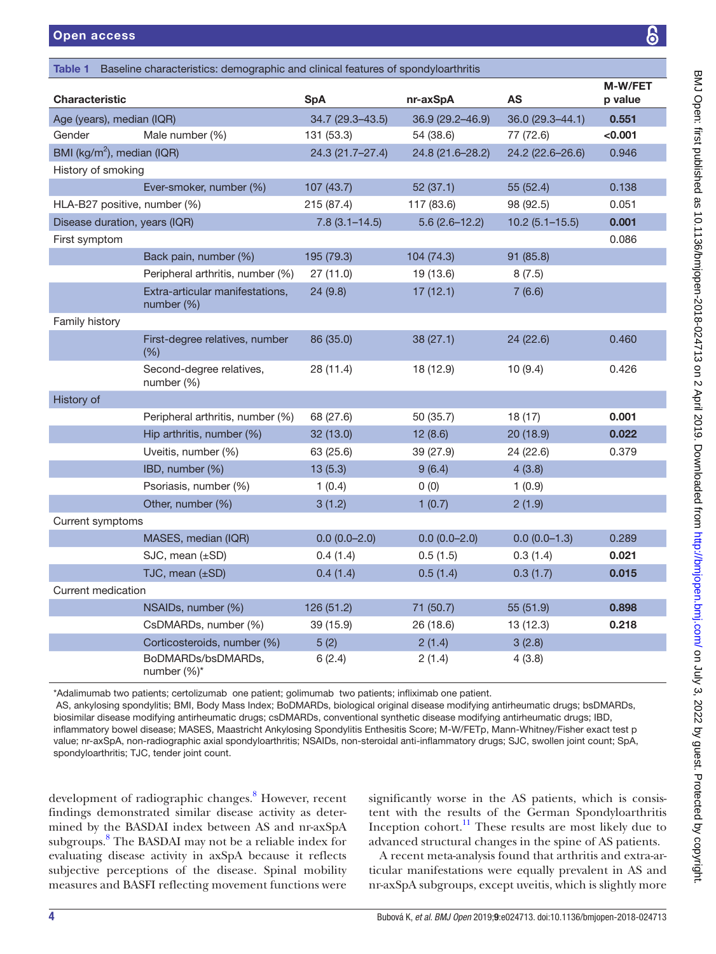<span id="page-3-0"></span>

|  |  |  | <b>Table 1</b> Baseline characteristics: demographic and clinical features of spondyloarthritis |
|--|--|--|-------------------------------------------------------------------------------------------------|
|--|--|--|-------------------------------------------------------------------------------------------------|

| 34.7 (29.3-43.5)<br>36.9 (29.2-46.9)<br>36.0 (29.3-44.1)<br>0.551<br>Age (years), median (IQR)<br>Male number (%)<br>54 (38.6)<br>< 0.001<br>Gender<br>131 (53.3)<br>77 (72.6)<br>BMI (kg/m <sup>2</sup> ), median (IQR)<br>24.3 (21.7-27.4)<br>24.8 (21.6-28.2)<br>24.2 (22.6-26.6)<br>0.946<br>History of smoking<br>Ever-smoker, number (%)<br>107 (43.7)<br>52(37.1)<br>55 (52.4)<br>0.138<br>HLA-B27 positive, number (%)<br>0.051<br>215 (87.4)<br>117 (83.6)<br>98 (92.5)<br>Disease duration, years (IQR)<br>$7.8(3.1 - 14.5)$<br>$5.6(2.6 - 12.2)$<br>$10.2(5.1 - 15.5)$<br>0.001<br>First symptom<br>0.086<br>104 (74.3)<br>91 (85.8)<br>Back pain, number (%)<br>195 (79.3)<br>Peripheral arthritis, number (%)<br>27 (11.0)<br>19 (13.6)<br>8(7.5)<br>Extra-articular manifestations,<br>24(9.8)<br>17(12.1)<br>7(6.6)<br>number (%)<br>Family history<br>First-degree relatives, number<br>0.460<br>86 (35.0)<br>38(27.1)<br>24 (22.6)<br>(%)<br>Second-degree relatives,<br>0.426<br>28 (11.4)<br>18 (12.9)<br>10(9.4)<br>number $(\%)$<br>Peripheral arthritis, number (%)<br>68 (27.6)<br>50 (35.7)<br>0.001<br>18 (17)<br>Hip arthritis, number (%)<br>20 (18.9)<br>0.022<br>32 (13.0)<br>12(8.6)<br>Uveitis, number (%)<br>63 (25.6)<br>39 (27.9)<br>24 (22.6)<br>0.379<br>IBD, number (%)<br>4(3.8)<br>13(5.3)<br>9(6.4)<br>Psoriasis, number (%)<br>1(0.4)<br>0(0)<br>1(0.9)<br>Other, number (%)<br>3(1.2)<br>1(0.7)<br>2(1.9)<br>Current symptoms<br>MASES, median (IQR)<br>$0.0(0.0-2.0)$<br>$0.0(0.0-2.0)$<br>$0.0(0.0-1.3)$<br>0.289<br>SJC, mean (±SD)<br>0.4(1.4)<br>0.5(1.5)<br>0.3(1.4)<br>0.021<br>TJC, mean (±SD)<br>0.4(1.4)<br>0.5(1.4)<br>0.3(1.7)<br>0.015<br>Current medication<br>0.898<br>NSAIDs, number (%)<br>126 (51.2)<br>71 (50.7)<br>55 (51.9)<br>0.218<br>CsDMARDs, number (%)<br>39 (15.9)<br>26 (18.6)<br>13(12.3)<br>Corticosteroids, number (%)<br>5(2)<br>3(2.8)<br>2(1.4)<br>BoDMARDs/bsDMARDs,<br>6(2.4)<br>2(1.4)<br>4(3.8) | <b>Characteristic</b> |             | <b>SpA</b> | nr-axSpA | AS | M-W/FET<br>p value |
|----------------------------------------------------------------------------------------------------------------------------------------------------------------------------------------------------------------------------------------------------------------------------------------------------------------------------------------------------------------------------------------------------------------------------------------------------------------------------------------------------------------------------------------------------------------------------------------------------------------------------------------------------------------------------------------------------------------------------------------------------------------------------------------------------------------------------------------------------------------------------------------------------------------------------------------------------------------------------------------------------------------------------------------------------------------------------------------------------------------------------------------------------------------------------------------------------------------------------------------------------------------------------------------------------------------------------------------------------------------------------------------------------------------------------------------------------------------------------------------------------------------------------------------------------------------------------------------------------------------------------------------------------------------------------------------------------------------------------------------------------------------------------------------------------------------------------------------------------------------------------------------------------------------------------------------------------------------------------------|-----------------------|-------------|------------|----------|----|--------------------|
|                                                                                                                                                                                                                                                                                                                                                                                                                                                                                                                                                                                                                                                                                                                                                                                                                                                                                                                                                                                                                                                                                                                                                                                                                                                                                                                                                                                                                                                                                                                                                                                                                                                                                                                                                                                                                                                                                                                                                                                  |                       |             |            |          |    |                    |
|                                                                                                                                                                                                                                                                                                                                                                                                                                                                                                                                                                                                                                                                                                                                                                                                                                                                                                                                                                                                                                                                                                                                                                                                                                                                                                                                                                                                                                                                                                                                                                                                                                                                                                                                                                                                                                                                                                                                                                                  |                       |             |            |          |    |                    |
|                                                                                                                                                                                                                                                                                                                                                                                                                                                                                                                                                                                                                                                                                                                                                                                                                                                                                                                                                                                                                                                                                                                                                                                                                                                                                                                                                                                                                                                                                                                                                                                                                                                                                                                                                                                                                                                                                                                                                                                  |                       |             |            |          |    |                    |
|                                                                                                                                                                                                                                                                                                                                                                                                                                                                                                                                                                                                                                                                                                                                                                                                                                                                                                                                                                                                                                                                                                                                                                                                                                                                                                                                                                                                                                                                                                                                                                                                                                                                                                                                                                                                                                                                                                                                                                                  |                       |             |            |          |    |                    |
|                                                                                                                                                                                                                                                                                                                                                                                                                                                                                                                                                                                                                                                                                                                                                                                                                                                                                                                                                                                                                                                                                                                                                                                                                                                                                                                                                                                                                                                                                                                                                                                                                                                                                                                                                                                                                                                                                                                                                                                  |                       |             |            |          |    |                    |
|                                                                                                                                                                                                                                                                                                                                                                                                                                                                                                                                                                                                                                                                                                                                                                                                                                                                                                                                                                                                                                                                                                                                                                                                                                                                                                                                                                                                                                                                                                                                                                                                                                                                                                                                                                                                                                                                                                                                                                                  |                       |             |            |          |    |                    |
| History of                                                                                                                                                                                                                                                                                                                                                                                                                                                                                                                                                                                                                                                                                                                                                                                                                                                                                                                                                                                                                                                                                                                                                                                                                                                                                                                                                                                                                                                                                                                                                                                                                                                                                                                                                                                                                                                                                                                                                                       |                       |             |            |          |    |                    |
|                                                                                                                                                                                                                                                                                                                                                                                                                                                                                                                                                                                                                                                                                                                                                                                                                                                                                                                                                                                                                                                                                                                                                                                                                                                                                                                                                                                                                                                                                                                                                                                                                                                                                                                                                                                                                                                                                                                                                                                  |                       |             |            |          |    |                    |
|                                                                                                                                                                                                                                                                                                                                                                                                                                                                                                                                                                                                                                                                                                                                                                                                                                                                                                                                                                                                                                                                                                                                                                                                                                                                                                                                                                                                                                                                                                                                                                                                                                                                                                                                                                                                                                                                                                                                                                                  |                       |             |            |          |    |                    |
|                                                                                                                                                                                                                                                                                                                                                                                                                                                                                                                                                                                                                                                                                                                                                                                                                                                                                                                                                                                                                                                                                                                                                                                                                                                                                                                                                                                                                                                                                                                                                                                                                                                                                                                                                                                                                                                                                                                                                                                  |                       |             |            |          |    |                    |
|                                                                                                                                                                                                                                                                                                                                                                                                                                                                                                                                                                                                                                                                                                                                                                                                                                                                                                                                                                                                                                                                                                                                                                                                                                                                                                                                                                                                                                                                                                                                                                                                                                                                                                                                                                                                                                                                                                                                                                                  |                       |             |            |          |    |                    |
|                                                                                                                                                                                                                                                                                                                                                                                                                                                                                                                                                                                                                                                                                                                                                                                                                                                                                                                                                                                                                                                                                                                                                                                                                                                                                                                                                                                                                                                                                                                                                                                                                                                                                                                                                                                                                                                                                                                                                                                  |                       |             |            |          |    |                    |
|                                                                                                                                                                                                                                                                                                                                                                                                                                                                                                                                                                                                                                                                                                                                                                                                                                                                                                                                                                                                                                                                                                                                                                                                                                                                                                                                                                                                                                                                                                                                                                                                                                                                                                                                                                                                                                                                                                                                                                                  |                       |             |            |          |    |                    |
|                                                                                                                                                                                                                                                                                                                                                                                                                                                                                                                                                                                                                                                                                                                                                                                                                                                                                                                                                                                                                                                                                                                                                                                                                                                                                                                                                                                                                                                                                                                                                                                                                                                                                                                                                                                                                                                                                                                                                                                  |                       |             |            |          |    |                    |
|                                                                                                                                                                                                                                                                                                                                                                                                                                                                                                                                                                                                                                                                                                                                                                                                                                                                                                                                                                                                                                                                                                                                                                                                                                                                                                                                                                                                                                                                                                                                                                                                                                                                                                                                                                                                                                                                                                                                                                                  |                       |             |            |          |    |                    |
|                                                                                                                                                                                                                                                                                                                                                                                                                                                                                                                                                                                                                                                                                                                                                                                                                                                                                                                                                                                                                                                                                                                                                                                                                                                                                                                                                                                                                                                                                                                                                                                                                                                                                                                                                                                                                                                                                                                                                                                  |                       |             |            |          |    |                    |
|                                                                                                                                                                                                                                                                                                                                                                                                                                                                                                                                                                                                                                                                                                                                                                                                                                                                                                                                                                                                                                                                                                                                                                                                                                                                                                                                                                                                                                                                                                                                                                                                                                                                                                                                                                                                                                                                                                                                                                                  |                       |             |            |          |    |                    |
|                                                                                                                                                                                                                                                                                                                                                                                                                                                                                                                                                                                                                                                                                                                                                                                                                                                                                                                                                                                                                                                                                                                                                                                                                                                                                                                                                                                                                                                                                                                                                                                                                                                                                                                                                                                                                                                                                                                                                                                  |                       |             |            |          |    |                    |
|                                                                                                                                                                                                                                                                                                                                                                                                                                                                                                                                                                                                                                                                                                                                                                                                                                                                                                                                                                                                                                                                                                                                                                                                                                                                                                                                                                                                                                                                                                                                                                                                                                                                                                                                                                                                                                                                                                                                                                                  |                       |             |            |          |    |                    |
|                                                                                                                                                                                                                                                                                                                                                                                                                                                                                                                                                                                                                                                                                                                                                                                                                                                                                                                                                                                                                                                                                                                                                                                                                                                                                                                                                                                                                                                                                                                                                                                                                                                                                                                                                                                                                                                                                                                                                                                  |                       |             |            |          |    |                    |
|                                                                                                                                                                                                                                                                                                                                                                                                                                                                                                                                                                                                                                                                                                                                                                                                                                                                                                                                                                                                                                                                                                                                                                                                                                                                                                                                                                                                                                                                                                                                                                                                                                                                                                                                                                                                                                                                                                                                                                                  |                       |             |            |          |    |                    |
|                                                                                                                                                                                                                                                                                                                                                                                                                                                                                                                                                                                                                                                                                                                                                                                                                                                                                                                                                                                                                                                                                                                                                                                                                                                                                                                                                                                                                                                                                                                                                                                                                                                                                                                                                                                                                                                                                                                                                                                  |                       |             |            |          |    |                    |
|                                                                                                                                                                                                                                                                                                                                                                                                                                                                                                                                                                                                                                                                                                                                                                                                                                                                                                                                                                                                                                                                                                                                                                                                                                                                                                                                                                                                                                                                                                                                                                                                                                                                                                                                                                                                                                                                                                                                                                                  |                       |             |            |          |    |                    |
|                                                                                                                                                                                                                                                                                                                                                                                                                                                                                                                                                                                                                                                                                                                                                                                                                                                                                                                                                                                                                                                                                                                                                                                                                                                                                                                                                                                                                                                                                                                                                                                                                                                                                                                                                                                                                                                                                                                                                                                  |                       |             |            |          |    |                    |
|                                                                                                                                                                                                                                                                                                                                                                                                                                                                                                                                                                                                                                                                                                                                                                                                                                                                                                                                                                                                                                                                                                                                                                                                                                                                                                                                                                                                                                                                                                                                                                                                                                                                                                                                                                                                                                                                                                                                                                                  |                       |             |            |          |    |                    |
|                                                                                                                                                                                                                                                                                                                                                                                                                                                                                                                                                                                                                                                                                                                                                                                                                                                                                                                                                                                                                                                                                                                                                                                                                                                                                                                                                                                                                                                                                                                                                                                                                                                                                                                                                                                                                                                                                                                                                                                  |                       |             |            |          |    |                    |
|                                                                                                                                                                                                                                                                                                                                                                                                                                                                                                                                                                                                                                                                                                                                                                                                                                                                                                                                                                                                                                                                                                                                                                                                                                                                                                                                                                                                                                                                                                                                                                                                                                                                                                                                                                                                                                                                                                                                                                                  |                       |             |            |          |    |                    |
|                                                                                                                                                                                                                                                                                                                                                                                                                                                                                                                                                                                                                                                                                                                                                                                                                                                                                                                                                                                                                                                                                                                                                                                                                                                                                                                                                                                                                                                                                                                                                                                                                                                                                                                                                                                                                                                                                                                                                                                  |                       |             |            |          |    |                    |
|                                                                                                                                                                                                                                                                                                                                                                                                                                                                                                                                                                                                                                                                                                                                                                                                                                                                                                                                                                                                                                                                                                                                                                                                                                                                                                                                                                                                                                                                                                                                                                                                                                                                                                                                                                                                                                                                                                                                                                                  |                       |             |            |          |    |                    |
|                                                                                                                                                                                                                                                                                                                                                                                                                                                                                                                                                                                                                                                                                                                                                                                                                                                                                                                                                                                                                                                                                                                                                                                                                                                                                                                                                                                                                                                                                                                                                                                                                                                                                                                                                                                                                                                                                                                                                                                  |                       | number (%)* |            |          |    |                    |

\*Adalimumab two patients; certolizumab one patient; golimumab two patients; infliximab one patient.

 AS, ankylosing spondylitis; BMI, Body Mass Index; BoDMARDs, biological original disease modifying antirheumatic drugs; bsDMARDs, biosimilar disease modifying antirheumatic drugs; csDMARDs, conventional synthetic disease modifying antirheumatic drugs; IBD, inflammatory bowel disease; MASES, Maastricht Ankylosing Spondylitis Enthesitis Score; M-W/FETp, Mann-Whitney/Fisher exact test p value; nr-axSpA, non-radiographic axial spondyloarthritis; NSAIDs, non-steroidal anti-inflammatory drugs; SJC, swollen joint count; SpA, spondyloarthritis; TJC, tender joint count.

development of radiographic changes.<sup>8</sup> However, recent findings demonstrated similar disease activity as determined by the BASDAI index between AS and nr-axSpA subgroups.<sup>[8](#page-5-5)</sup> The BASDAI may not be a reliable index for evaluating disease activity in axSpA because it reflects subjective perceptions of the disease. Spinal mobility measures and BASFI reflecting movement functions were

significantly worse in the AS patients, which is consistent with the results of the German Spondyloarthritis Inception cohort.<sup>11</sup> These results are most likely due to advanced structural changes in the spine of AS patients.

A recent meta-analysis found that arthritis and extra-articular manifestations were equally prevalent in AS and nr-axSpA subgroups, except uveitis, which is slightly more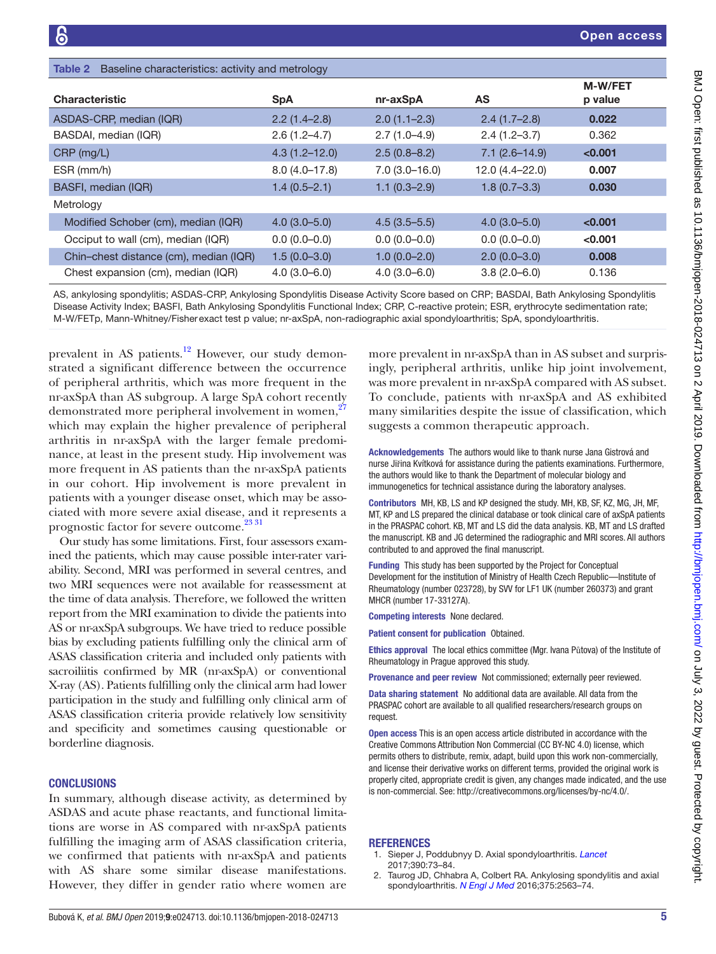| Baseline characteristics: activity and metrology<br>Table 2 |                   |                  |                    |                           |  |  |  |
|-------------------------------------------------------------|-------------------|------------------|--------------------|---------------------------|--|--|--|
| <b>Characteristic</b>                                       | <b>SpA</b>        | nr-axSpA         | AS                 | <b>M-W/FET</b><br>p value |  |  |  |
| ASDAS-CRP, median (IQR)                                     | $2.2(1.4 - 2.8)$  | $2.0(1.1 - 2.3)$ | $2.4(1.7-2.8)$     | 0.022                     |  |  |  |
| BASDAI, median (IQR)                                        | $2.6(1.2 - 4.7)$  | $2.7(1.0-4.9)$   | $2.4(1.2 - 3.7)$   | 0.362                     |  |  |  |
| $CRP$ (mg/L)                                                | $4.3(1.2 - 12.0)$ | $2.5(0.8-8.2)$   | $7.1(2.6 - 14.9)$  | < 0.001                   |  |  |  |
| ESR (mm/h)                                                  | $8.0(4.0 - 17.8)$ | $7.0(3.0-16.0)$  | $12.0(4.4 - 22.0)$ | 0.007                     |  |  |  |
| BASFI, median (IQR)                                         | $1.4(0.5 - 2.1)$  | $1.1(0.3 - 2.9)$ | $1.8(0.7 - 3.3)$   | 0.030                     |  |  |  |
| Metrology                                                   |                   |                  |                    |                           |  |  |  |
| Modified Schober (cm), median (IQR)                         | $4.0(3.0 - 5.0)$  | $4.5(3.5-5.5)$   | $4.0(3.0 - 5.0)$   | < 0.001                   |  |  |  |
| Occiput to wall (cm), median (IQR)                          | $0.0(0.0-0.0)$    | $0.0(0.0-0.0)$   | $0.0(0.0-0.0)$     | < 0.001                   |  |  |  |
| Chin-chest distance (cm), median (IQR)                      | $1.5(0.0 - 3.0)$  | $1.0(0.0-2.0)$   | $2.0(0.0-3.0)$     | 0.008                     |  |  |  |
| Chest expansion (cm), median (IQR)                          | $4.0(3.0 - 6.0)$  | $4.0(3.0 - 6.0)$ | $3.8(2.0 - 6.0)$   | 0.136                     |  |  |  |

AS, ankylosing spondylitis; ASDAS-CRP, Ankylosing Spondylitis Disease Activity Score based on CRP; BASDAI, Bath Ankylosing Spondylitis Disease Activity Index; BASFI, Bath Ankylosing Spondylitis Functional Index; CRP, C-reactive protein; ESR, erythrocyte sedimentation rate; M-W/FETp, Mann-Whitney/Fisherexact test p value; nr-axSpA, non-radiographic axial spondyloarthritis; SpA, spondyloarthritis.

prevalent in AS patients. $12$  However, our study demonstrated a significant difference between the occurrence of peripheral arthritis, which was more frequent in the nr-axSpA than AS subgroup. A large SpA cohort recently demonstrated more peripheral involvement in women,<sup>27</sup> which may explain the higher prevalence of peripheral arthritis in nr-axSpA with the larger female predominance, at least in the present study. Hip involvement was more frequent in AS patients than the nr-axSpA patients in our cohort. Hip involvement is more prevalent in patients with a younger disease onset, which may be associated with more severe axial disease, and it represents a prognostic factor for severe outcome.<sup>23 31</sup>

Our study has some limitations. First, four assessors examined the patients, which may cause possible inter-rater variability. Second, MRI was performed in several centres, and two MRI sequences were not available for reassessment at the time of data analysis. Therefore, we followed the written report from the MRI examination to divide the patients into AS or nr-axSpA subgroups. We have tried to reduce possible bias by excluding patients fulfilling only the clinical arm of ASAS classification criteria and included only patients with sacroiliitis confirmed by MR (nr-axSpA) or conventional X-ray (AS). Patients fulfilling only the clinical arm had lower participation in the study and fulfilling only clinical arm of ASAS classification criteria provide relatively low sensitivity and specificity and sometimes causing questionable or borderline diagnosis.

## **CONCLUSIONS**

In summary, although disease activity, as determined by ASDAS and acute phase reactants, and functional limitations are worse in AS compared with nr-axSpA patients fulfilling the imaging arm of ASAS classification criteria, we confirmed that patients with nr-axSpA and patients with AS share some similar disease manifestations. However, they differ in gender ratio where women are

more prevalent in nr-axSpA than in AS subset and surprisingly, peripheral arthritis, unlike hip joint involvement, was more prevalent in nr-axSpA compared with AS subset. To conclude, patients with nr-axSpA and AS exhibited many similarities despite the issue of classification, which suggests a common therapeutic approach.

Acknowledgements The authors would like to thank nurse Jana Gistrová and nurse Jiřina Kvítková for assistance during the patients examinations. Furthermore, the authors would like to thank the Department of molecular biology and immunogenetics for technical assistance during the laboratory analyses.

Contributors MH, KB, LS and KP designed the study. MH, KB, SF, KZ, MG, JH, MF, MT, KP and LS prepared the clinical database or took clinical care of axSpA patients in the PRASPAC cohort. KB, MT and LS did the data analysis. KB, MT and LS drafted the manuscript. KB and JG determined the radiographic and MRI scores. All authors contributed to and approved the final manuscript.

Funding This study has been supported by the Project for Conceptual Development for the institution of Ministry of Health Czech Republic—Institute of Rheumatology (number 023728), by SVV for LF1 UK (number 260373) and grant MHCR (number 17-33127A).

Competing interests None declared.

Patient consent for publication Obtained.

Ethics approval The local ethics committee (Mgr. Ivana Půtova) of the Institute of Rheumatology in Prague approved this study.

Provenance and peer review Not commissioned; externally peer reviewed.

Data sharing statement No additional data are available. All data from the PRASPAC cohort are available to all qualified researchers/research groups on request.

Open access This is an open access article distributed in accordance with the Creative Commons Attribution Non Commercial (CC BY-NC 4.0) license, which permits others to distribute, remix, adapt, build upon this work non-commercially, and license their derivative works on different terms, provided the original work is properly cited, appropriate credit is given, any changes made indicated, and the use is non-commercial. See: [http://creativecommons.org/licenses/by-nc/4.0/.](http://creativecommons.org/licenses/by-nc/4.0/)

#### **REFERENCES**

- <span id="page-4-0"></span>1. Sieper J, Poddubnyy D. Axial spondyloarthritis. *[Lancet](http://dx.doi.org/10.1016/S0140-6736(16)31591-4)* 2017;390:73–84.
- <span id="page-4-1"></span>2. Taurog JD, Chhabra A, Colbert RA. Ankylosing spondylitis and axial spondyloarthritis. *[N Engl J Med](http://dx.doi.org/10.1056/NEJMra1406182)* 2016;375:2563–74.